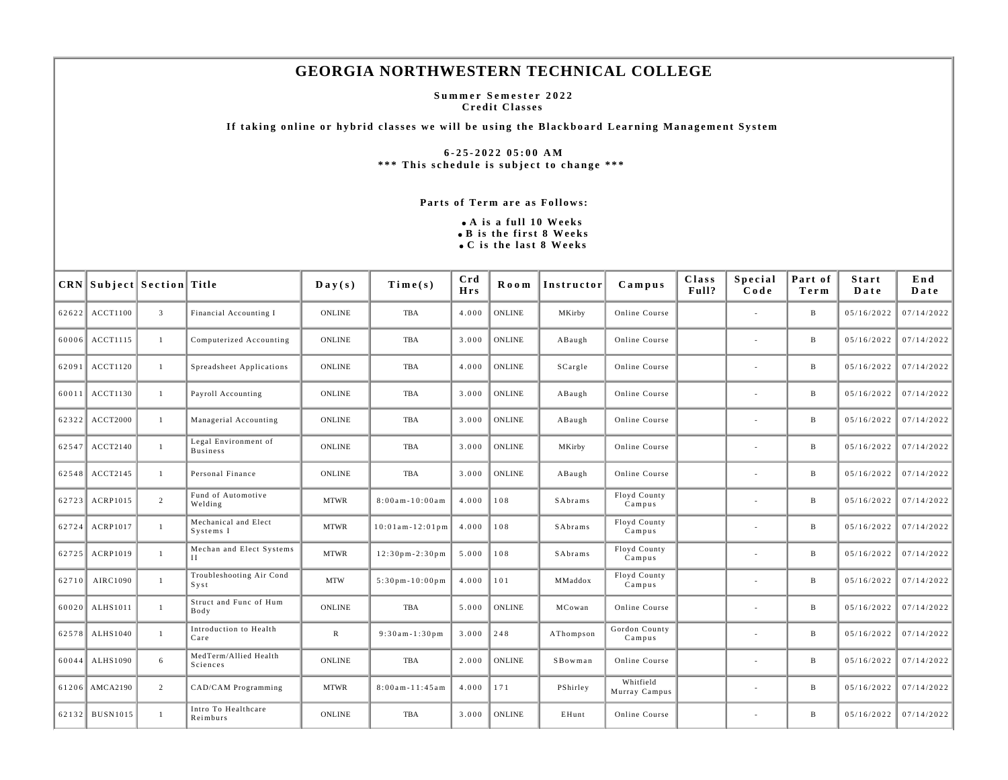## **GEORGIA NORTHWESTERN TECHNICAL COLLEGE**

**Summer Semester 2022 Credit Classes** 

**If taking online or hybrid classes we will be using the Blackboard Learning Management System** 

**6-25-2022 05:00 AM \*\*\* This schedule is subject to change \*\*\*** 

## **Parts of Term are as Follows:**

**A is a full 10 Weeks B is the first 8 Weeks C is the last 8 Weeks**

| CRN Subject Section Title |                |                                          | $\mathbf{D}\mathbf{a}\mathbf{y}(\mathbf{s})$ | Time(s)                              | Crd<br><b>Hrs</b> | <b>Room</b>   | Instructor | $C$ ampus                  | Class<br>Full? | <b>Special</b><br>Code   | Part of<br>Term | Start<br>Date | End<br>Date |
|---------------------------|----------------|------------------------------------------|----------------------------------------------|--------------------------------------|-------------------|---------------|------------|----------------------------|----------------|--------------------------|-----------------|---------------|-------------|
| 62622 ACCT1100            | $\overline{3}$ | Financial Accounting I                   | <b>ONLINE</b>                                | TBA                                  | 4.000             | <b>ONLINE</b> | MKirby     | Online Course              |                | $\sim$                   | B               | 05/16/2022    | 07/14/2022  |
| 60006 ACCT1115            | $\mathbf{1}$   | Computerized Accounting                  | ONLINE                                       | TBA                                  | 3.000             | <b>ONLINE</b> | ABaugh     | Online Course              |                | $\sim$                   | B               | 05/16/2022    | 07/14/2022  |
| 62091 ACCT1120            | 1              | Spreadsheet Applications                 | <b>ONLINE</b>                                | TBA                                  | 4.000             | <b>ONLINE</b> | SCargle    | Online Course              |                |                          | $\, {\bf B}$    | 05/16/2022    | 07/14/2022  |
| 60011 ACCT1130            | $\mathbf{1}$   | Payroll Accounting                       | <b>ONLINE</b>                                | TBA                                  | 3.000             | <b>ONLINE</b> | ABaugh     | Online Course              |                |                          | B               | 05/16/2022    | 07/14/2022  |
| 62322 ACCT2000            | $\mathbf{1}$   | Managerial Accounting                    | <b>ONLINE</b>                                | TBA                                  | 3.000             | <b>ONLINE</b> | ABaugh     | Online Course              |                |                          | $\, {\bf B}$    | 05/16/2022    | 07/14/2022  |
| 62547 ACCT2140            | $\mathbf{1}$   | Legal Environment of<br><b>Business</b>  | <b>ONLINE</b>                                | <b>TBA</b>                           | 3.000             | <b>ONLINE</b> | MKirby     | Online Course              |                |                          | B               | 05/16/2022    | 07/14/2022  |
| 62548 ACCT2145            | $\mathbf{1}$   | Personal Finance                         | <b>ONLINE</b>                                | TBA                                  | 3.000             | <b>ONLINE</b> | ABaugh     | Online Course              |                | $\overline{\phantom{a}}$ | B               | 05/16/2022    | 07/14/2022  |
| 62723 ACRP1015            | $\overline{2}$ | Fund of Automotive<br>Welding            | <b>MTWR</b>                                  | $8:00am - 10:00am$                   | 4.000             | 108           | SAbrams    | Floyd County<br>Campus     |                |                          | B               | 05/16/2022    | 07/14/2022  |
| 62724 ACRP1017            | -1             | Mechanical and Elect<br>Systems I        | <b>MTWR</b>                                  | $10:01$ am - $12:01$ pm              | 4.000             | 108           | SAbrams    | Floyd County<br>Campus     |                |                          | $\, {\bf B}$    | 05/16/2022    | 07/14/2022  |
| 62725 ACRP1019            | $\mathbf{1}$   | Mechan and Elect Systems<br>$\mathbf{H}$ | <b>MTWR</b>                                  | $12:30 \text{ pm} - 2:30 \text{ pm}$ | 5.000             | 108           | SAbrams    | Floyd County<br>$C$ ampus  |                | $\sim$                   | B               | 05/16/2022    | 07/14/2022  |
| 62710 AIRC1090            | $\mathbf{1}$   | Troubleshooting Air Cond<br>$S$ y s t    | <b>MTW</b>                                   | $5:30$ pm - $10:00$ pm               | 4.000             | 101           | MMaddox    | Floyd County<br>Campus     |                |                          | B               | 05/16/2022    | 07/14/2022  |
| 60020 ALHS1011            | $\mathbf{1}$   | Struct and Func of Hum<br>Body           | <b>ONLINE</b>                                | TBA                                  | 5.000             | <b>ONLINE</b> | MCowan     | Online Course              |                |                          | $\, {\bf B}$    | 05/16/2022    | 07/14/2022  |
| 62578 ALHS1040            | -1             | Introduction to Health<br>Care           | ${\bf R}$                                    | $9:30am - 1:30pm$                    | 3.000             | 248           | AThompson  | Gordon County<br>Campus    |                | $\sim$                   | B               | 05/16/2022    | 07/14/2022  |
| 60044 ALHS1090            | 6              | MedTerm/Allied Health<br>Sciences        | <b>ONLINE</b>                                | TBA                                  | 2.000             | <b>ONLINE</b> | SBowman    | Online Course              |                |                          | B               | 05/16/2022    | 07/14/2022  |
| 61206 AMCA2190            | $\overline{2}$ | CAD/CAM Programming                      | <b>MTWR</b>                                  | $8:00$ am - $11:45$ am               | 4.000             | 171           | PShirley   | Whitfield<br>Murray Campus |                | $\overline{\phantom{a}}$ | B               | 05/16/2022    | 07/14/2022  |
| 62132 BUSN1015            | $\mathbf{1}$   | Intro To Healthcare<br>Reimburs          | <b>ONLINE</b>                                | TBA                                  | 3.000             | <b>ONLINE</b> | EHunt      | Online Course              |                | $\sim$                   | $\, {\bf B}$    | 05/16/2022    | 07/14/2022  |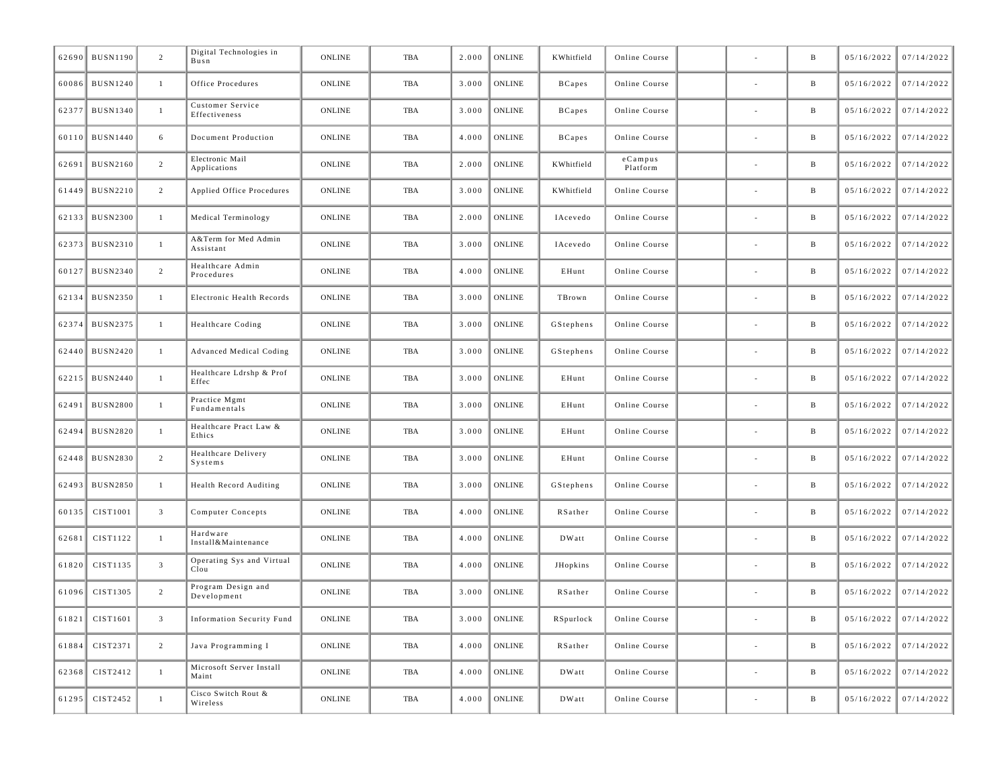| 62690 | <b>BUSN1190</b>    | 2              | Digital Technologies in<br>Busn   | <b>ONLINE</b> | <b>TBA</b> | 2.000 | ONLINE         | KWhitfield    | Online Course          |                          | B            | 05/16/2022 | 07/14/2022              |
|-------|--------------------|----------------|-----------------------------------|---------------|------------|-------|----------------|---------------|------------------------|--------------------------|--------------|------------|-------------------------|
|       | 60086 BUSN1240     | $\mathbf{1}$   | Office Procedures                 | <b>ONLINE</b> | TBA        | 3.000 | ONLINE         | <b>BCapes</b> | Online Course          |                          | B            | 05/16/2022 | 07/14/2022              |
| 62377 | <b>BUSN1340</b>    | $\mathbf{1}$   | Customer Service<br>Effectiveness | <b>ONLINE</b> | <b>TBA</b> | 3.000 | <b>ONLINE</b>  | <b>BCapes</b> | Online Course          |                          | B            | 05/16/2022 | 07/14/2022              |
|       | 60110 BUSN1440     | 6              | Document Production               | <b>ONLINE</b> | TBA        | 4.000 | <b>ONLINE</b>  | <b>BCapes</b> | Online Course          |                          | B            | 05/16/2022 | 07/14/2022              |
| 62691 | <b>BUSN2160</b>    | $\overline{c}$ | Electronic Mail<br>Applications   | <b>ONLINE</b> | <b>TBA</b> | 2.000 | ONLINE         | KWhitfield    | $e$ Campus<br>Platform |                          | B            | 05/16/2022 | 07/14/2022              |
|       | 61449 BUSN2210     | $\overline{c}$ | Applied Office Procedures         | <b>ONLINE</b> | TBA        | 3.000 | <b>ONLINE</b>  | KWhitfield    | Online Course          |                          | B            | 05/16/2022 | 07/14/2022              |
| 62133 | <b>BUSN2300</b>    | $\mathbf{1}$   | Medical Terminology               | <b>ONLINE</b> | <b>TBA</b> | 2.000 | ONLINE         | IAcevedo      | Online Course          |                          | B            | 05/16/2022 | 07/14/2022              |
|       | 62373 BUSN2310     | $\mathbf{1}$   | A&Term for Med Admin<br>Assistant | <b>ONLINE</b> | TBA        | 3.000 | <b>ONLINE</b>  | IAcevedo      | Online Course          |                          | B            | 05/16/2022 | 07/14/2022              |
| 60127 | <b>BUSN2340</b>    | $\overline{c}$ | Healthcare Admin<br>Procedures    | <b>ONLINE</b> | <b>TBA</b> | 4.000 | ONLINE         | EHunt         | Online Course          |                          | B            | 05/16/2022 | 07/14/2022              |
|       | 62134 BUSN2350     | $\mathbf{1}$   | Electronic Health Records         | <b>ONLINE</b> | TBA        | 3.000 | <b>ONLINE</b>  | TBrown        | Online Course          |                          | B            | 05/16/2022 | 07/14/2022              |
| 62374 | <b>BUSN2375</b>    | 1              | Healthcare Coding                 | <b>ONLINE</b> | <b>TBA</b> | 3.000 | ONLINE         | GStephens     | Online Course          |                          | B            | 05/16/2022 | 07/14/2022              |
| 62440 | <b>BUSN2420</b>    | $\mathbf{1}$   | Advanced Medical Coding           | <b>ONLINE</b> | TBA        | 3.000 | <b>ONLINE</b>  | GStephens     | Online Course          |                          | B            | 05/16/2022 | 07/14/2022              |
|       | 62215 BUSN2440     | $\mathbf{1}$   | Healthcare Ldrshp & Prof<br>Effec | <b>ONLINE</b> | <b>TBA</b> | 3.000 | ONLINE         | EHunt         | Online Course          |                          | B            | 05/16/2022 | 07/14/2022              |
| 62491 | <b>BUSN2800</b>    | $\mathbf{1}$   | Practice Mgmt<br>Fundamentals     | <b>ONLINE</b> | TBA        | 3.000 | <b>ONLINE</b>  | EHunt         | Online Course          |                          | B            | 05/16/2022 | 07/14/2022              |
| 62494 | <b>BUSN2820</b>    | $\mathbf{1}$   | Healthcare Pract Law &<br>Ethics  | <b>ONLINE</b> | TBA        | 3.000 | <b>ONLINE</b>  | EHunt         | Online Course          | $\overline{\phantom{a}}$ | B            | 05/16/2022 | 07/14/2022              |
| 62448 | <b>BUSN2830</b>    | $\overline{c}$ | Healthcare Delivery<br>Systems    | <b>ONLINE</b> | TBA        | 3.000 | <b>ONLINE</b>  | EHunt         | Online Course          |                          | B            | 05/16/2022 | 07/14/2022              |
| 62493 | <b>BUSN2850</b>    | $\mathbf{1}$   | Health Record Auditing            | <b>ONLINE</b> | <b>TBA</b> | 3.000 | ONLINE         | GStephens     | Online Course          |                          | B            | 05/16/2022 | 07/14/2022              |
|       | 60135   CIST1001   | $\mathbf{3}$   | Computer Concepts                 | <b>ONLINE</b> | TBA        | 4.000 | <b>ONLINE</b>  | RSather       | Online Course          |                          | B            | 05/16/2022 | 07/14/2022              |
| 62681 | CIST1122           | $\mathbf{1}$   | Hardware<br>Install&Maintenance   | <b>ONLINE</b> | TBA        | 4.000 | ONLINE         | DWatt         | Online Course          | $\overline{\phantom{a}}$ | B            | 05/16/2022 | 07/14/2022              |
| 61820 | CIST1135           | $\overline{3}$ | Operating Sys and Virtual<br>Clou | <b>ONLINE</b> | TBA        | 4.000 | <b>ONLINE</b>  | JHopkins      | Online Course          |                          | B            | 05/16/2022 | 07/14/2022              |
| 61096 | CIST1305           | $\overline{2}$ | Program Design and<br>Development | <b>ONLINE</b> | TBA        | 3.000 | ONLINE         | RSather       | Online Course          |                          | B            | 05/16/2022 | 07/14/2022              |
|       | $ 61821 $ CIST1601 |                | Information Security Fund         | ONLINE        | TBA        |       | $3.000$ ONLINE | RSpurlock     | Online Course          |                          | B            |            | $05/16/2022$ 07/14/2022 |
|       | 61884 CIST2371     | 2              | Java Programming I                | <b>ONLINE</b> | TBA        | 4.000 | ONLINE         | RSather       | Online Course          | $\sim$                   | $\mathbf{B}$ | 05/16/2022 | 07/14/2022              |
|       | 62368 CIST2412     | $\mathbf{1}$   | Microsoft Server Install<br>Maint | <b>ONLINE</b> | TBA        | 4.000 | ONLINE         | DWatt         | Online Course          | $\sim$                   | $\mathbf{B}$ | 05/16/2022 | 07/14/2022              |
|       | 61295 CIST2452     | $\mathbf{1}$   | Cisco Switch Rout &<br>Wireless   | ONLINE        | TBA        | 4.000 | <b>ONLINE</b>  | DWatt         | Online Course          | $\sim$                   | B            | 05/16/2022 | 07/14/2022              |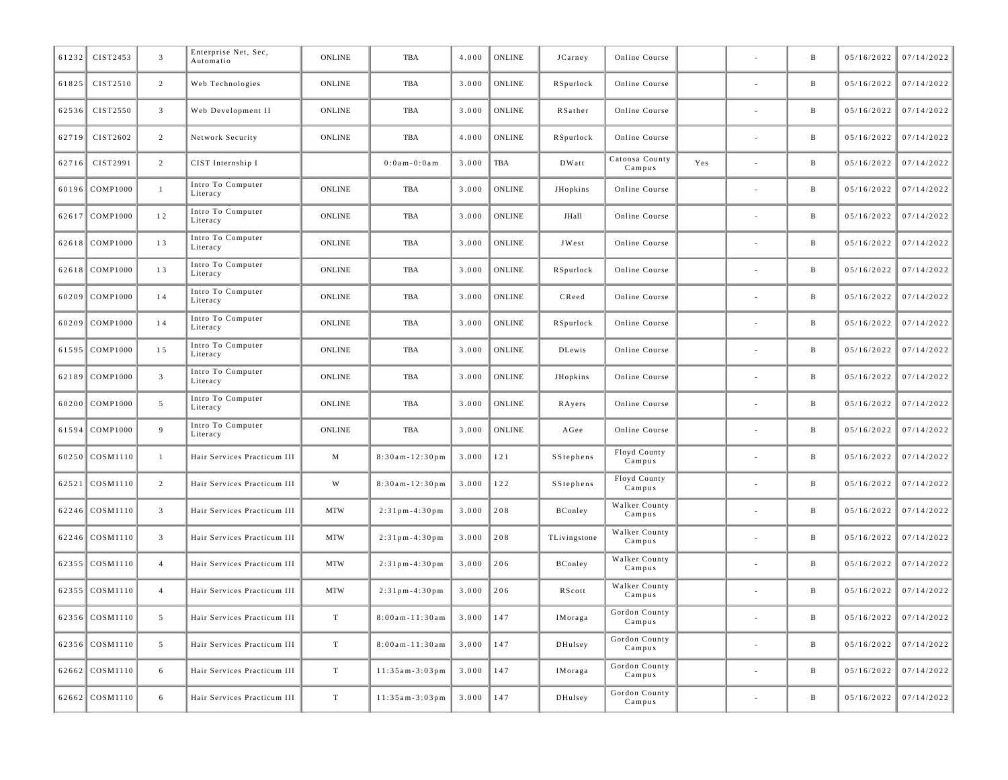| 61232 | CIST2453            | $\overline{\mathbf{3}}$ | Enterprise Net, Sec,<br>Automatio | <b>ONLINE</b> | TBA                    | 4.000 | <b>ONLINE</b> | JCarney       | Online Course            |     | $\, {\bf B}$ | 05/16/2022 | 07/14/2022 |
|-------|---------------------|-------------------------|-----------------------------------|---------------|------------------------|-------|---------------|---------------|--------------------------|-----|--------------|------------|------------|
| 61825 | CIST2510            | 2                       | Web Technologies                  | <b>ONLINE</b> | <b>TBA</b>             | 3.000 | <b>ONLINE</b> | RSpurlock     | Online Course            |     | B            | 05/16/2022 | 07/14/2022 |
| 62536 | CIST2550            | $\overline{3}$          | Web Development II                | <b>ONLINE</b> | TBA                    | 3.000 | <b>ONLINE</b> | RSather       | Online Course            |     | B            | 05/16/2022 | 07/14/2022 |
| 62719 | CIST2602            | 2                       | Network Security                  | <b>ONLINE</b> | TBA                    | 4.000 | <b>ONLINE</b> | RSpurlock     | Online Course            |     | $\, {\bf B}$ | 05/16/2022 | 07/14/2022 |
| 62716 | CIST2991            | $\overline{c}$          | CIST Internship I                 |               | $0:0$ am - $0:0$ am    | 3.000 | TBA           | DWatt         | Catoosa County<br>Campus | Yes | B            | 05/16/2022 | 07/14/2022 |
| 60196 | <b>COMP1000</b>     | $\mathbf{1}$            | Intro To Computer<br>Literacy     | ONLINE        | TBA                    | 3.000 | <b>ONLINE</b> | JHopkins      | Online Course            |     | B            | 05/16/2022 | 07/14/2022 |
| 62617 | <b>COMP1000</b>     | 12                      | Intro To Computer<br>Literacy     | ONLINE        | TBA                    | 3.000 | <b>ONLINE</b> | JHall         | Online Course            |     | B            | 05/16/2022 | 07/14/2022 |
| 62618 | <b>COMP1000</b>     | 13                      | Intro To Computer<br>Literacy     | ONLINE        | TBA                    | 3.000 | <b>ONLINE</b> | JWest         | Online Course            |     | B            | 05/16/2022 | 07/14/2022 |
|       | 62618 COMP1000      | 13                      | Intro To Computer<br>Literacy     | <b>ONLINE</b> | <b>TBA</b>             | 3.000 | <b>ONLINE</b> | RSpurlock     | Online Course            |     | B            | 05/16/2022 | 07/14/2022 |
| 60209 | <b>COMP1000</b>     | 14                      | Intro To Computer<br>Literacy     | <b>ONLINE</b> | <b>TBA</b>             | 3.000 | <b>ONLINE</b> | CReed         | Online Course            |     | B            | 05/16/2022 | 07/14/2022 |
| 60209 | COMP1000            | 14                      | Intro To Computer<br>Literacy     | <b>ONLINE</b> | TBA                    | 3.000 | <b>ONLINE</b> | RSpurlock     | Online Course            |     | B            | 05/16/2022 | 07/14/2022 |
| 61595 | <b>COMP1000</b>     | 15                      | Intro To Computer<br>Literacy     | <b>ONLINE</b> | <b>TBA</b>             | 3.000 | <b>ONLINE</b> | <b>DLewis</b> | Online Course            |     | B            | 05/16/2022 | 07/14/2022 |
| 62189 | $\mathsf{COMP}1000$ | $\overline{3}$          | Intro To Computer<br>Literacy     | <b>ONLINE</b> | TBA                    | 3.000 | <b>ONLINE</b> | JHopkins      | Online Course            |     | B            | 05/16/2022 | 07/14/2022 |
| 60200 | <b>COMP1000</b>     | 5                       | Intro To Computer<br>Literacy     | ONLINE        | <b>TBA</b>             | 3.000 | <b>ONLINE</b> | RAyers        | Online Course            |     | B            | 05/16/2022 | 07/14/2022 |
| 61594 | <b>COMP1000</b>     | 9                       | Intro To Computer<br>Literacy     | <b>ONLINE</b> | TBA                    | 3.000 | <b>ONLINE</b> | AGee          | Online Course            |     | B            | 05/16/2022 | 07/14/2022 |
| 60250 | COSM1110            | $\mathbf{1}$            | Hair Services Practicum III       | $\mathbf M$   | $8:30am - 12:30pm$     | 3.000 | 121           | SStephens     | Floyd County<br>Campus   |     | B            | 05/16/2022 | 07/14/2022 |
| 62521 | COSM1110            | 2                       | Hair Services Practicum III       | W             | $8:30$ am - $12:30$ pm | 3.000 | 122           | SStephens     | Floyd County<br>Campus   |     | B            | 05/16/2022 | 07/14/2022 |
| 62246 | COSM1110            | $\overline{3}$          | Hair Services Practicum III       | <b>MTW</b>    | $2:31$ pm - 4:30 pm    | 3.000 | 208           | BConley       | Walker County<br>Campus  |     | B            | 05/16/2022 | 07/14/2022 |
|       | 62246 COSM1110      | $\overline{3}$          | Hair Services Practicum III       | <b>MTW</b>    | $2:31$ pm - 4:30 pm    | 3.000 | 208           | TLivingstone  | Walker County<br>Campus  |     | $\, {\bf B}$ | 05/16/2022 | 07/14/2022 |
| 62355 | COSM1110            | $\overline{4}$          | Hair Services Practicum III       | <b>MTW</b>    | $2:31$ pm - 4:30 pm    | 3.000 | 206           | BConley       | Walker County<br>Campus  |     | B            | 05/16/2022 | 07/14/2022 |
|       | 62355 COSM1110      | $\overline{4}$          | Hair Services Practicum III       | <b>MTW</b>    | $2:31$ pm - 4:30 pm    | 3.000 | 206           | RScott        | Walker County<br>Campus  |     | B            | 05/16/2022 | 07/14/2022 |
| 62356 | COSM1110            | 5                       | Hair Services Practicum III       | T             | 8:00am-11:30am         | 3.000 | 147           | IMoraga       | Gordon County<br>Campus  |     | B            | 05/16/2022 | 07/14/2022 |
|       | 62356 COSM1110      | 5                       | Hair Services Practicum III       | T             | $8:00$ am-11:30am      | 3.000 | 147           | DHulsey       | Gordon County<br>Campus  |     | B            | 05/16/2022 | 07/14/2022 |
| 62662 | COSM1110            | 6                       | Hair Services Practicum III       | T             | $11:35am-3:03pm$       | 3.000 | 147           | IMoraga       | Gordon County<br>Campus  |     | B            | 05/16/2022 | 07/14/2022 |
|       | 62662 COSM1110      | 6                       | Hair Services Practicum III       | T             | $11:35am-3:03pm$       | 3.000 | 147           | DHulsey       | Gordon County<br>Campus  |     | B            | 05/16/2022 | 07/14/2022 |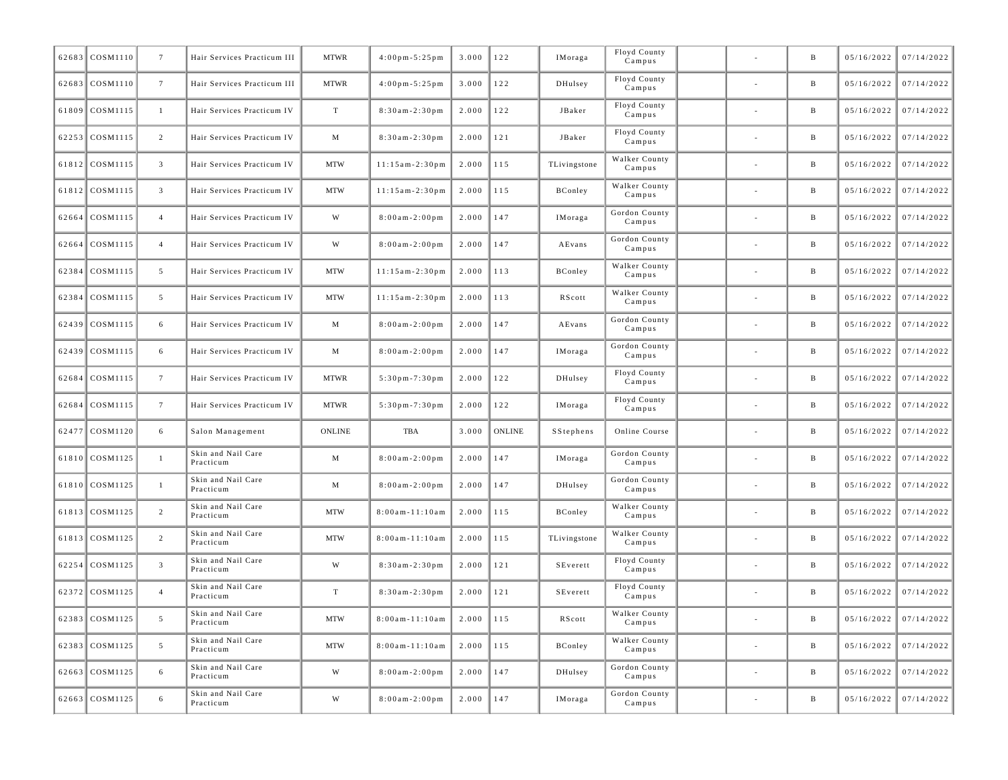| 62683 COSM1110 | $7\phantom{.0}$ | Hair Services Practicum III     | <b>MTWR</b>   | $4:00 \text{ pm} - 5:25 \text{ pm}$ | 3.000 | 122           | IMoraga      | Floyd County<br>Campus  |                          | B            | 05/16/2022 | 07/14/2022              |
|----------------|-----------------|---------------------------------|---------------|-------------------------------------|-------|---------------|--------------|-------------------------|--------------------------|--------------|------------|-------------------------|
| 62683 COSM1110 | $7\phantom{.0}$ | Hair Services Practicum III     | <b>MTWR</b>   | $4:00$ pm - $5:25$ pm               | 3.000 | 122           | DHulsey      | Floyd County<br>Campus  | ٠                        | B            | 05/16/2022 | 07/14/2022              |
| 61809 COSM1115 | $\mathbf{1}$    | Hair Services Practicum IV      | T             | $8:30am - 2:30pm$                   | 2.000 | 122           | JBaker       | Floyd County<br>Campus  | $\overline{\phantom{a}}$ | B            | 05/16/2022 | 07/14/2022              |
| 62253 COSM1115 | $\overline{2}$  | Hair Services Practicum IV      | M             | $8:30am - 2:30pm$                   | 2.000 | 121           | JBaker       | Floyd County<br>Campus  | ٠                        | B            | 05/16/2022 | 07/14/2022              |
| 61812 COSM1115 | $\mathbf{3}$    | Hair Services Practicum IV      | <b>MTW</b>    | $11:15am-2:30pm$                    | 2.000 | 115           | TLivingstone | Walker County<br>Campus |                          | $\mathbf{B}$ | 05/16/2022 | 07/14/2022              |
| 61812 COSM1115 | $\mathbf{3}$    | Hair Services Practicum IV      | <b>MTW</b>    | $11:15am-2:30pm$                    | 2.000 | 115           | BConley      | Walker County<br>Campus | ٠                        | B            | 05/16/2022 | 07/14/2022              |
| 62664 COSM1115 | $\overline{4}$  | Hair Services Practicum IV      | W             | $8:00am - 2:00pm$                   | 2.000 | 147           | IMoraga      | Gordon County<br>Campus | $\overline{\phantom{a}}$ | $\mathbf{B}$ | 05/16/2022 | 07/14/2022              |
| 62664 COSM1115 | $\overline{4}$  | Hair Services Practicum IV      | W             | $8:00am - 2:00pm$                   | 2.000 | 147           | AEvans       | Gordon County<br>Campus | ٠                        | B            | 05/16/2022 | 07/14/2022              |
| 62384 COSM1115 | 5               | Hair Services Practicum IV      | <b>MTW</b>    | $11:15am-2:30pm$                    | 2.000 | 113           | BConley      | Walker County<br>Campus |                          | $\mathbf{B}$ | 05/16/2022 | 07/14/2022              |
| 62384 COSM1115 | 5               | Hair Services Practicum IV      | <b>MTW</b>    | $11:15am-2:30pm$                    | 2.000 | 113           | RScott       | Walker County<br>Campus | ٠                        | B            | 05/16/2022 | 07/14/2022              |
| 62439 COSM1115 | 6               | Hair Services Practicum IV      | M             | $8:00am - 2:00pm$                   | 2.000 | 147           | AEvans       | Gordon County<br>Campus | $\overline{\phantom{a}}$ | $\mathbf{B}$ | 05/16/2022 | 07/14/2022              |
| 62439 COSM1115 | 6               | Hair Services Practicum IV      | M             | $8:00am - 2:00pm$                   | 2.000 | 147           | IMoraga      | Gordon County<br>Campus | ٠                        | B            | 05/16/2022 | 07/14/2022              |
| 62684 COSM1115 | $7\phantom{.0}$ | Hair Services Practicum IV      | <b>MTWR</b>   | $5:30$ pm $-7:30$ pm                | 2.000 | 122           | DHulsey      | Floyd County<br>Campus  | $\overline{\phantom{a}}$ | $\mathbf{B}$ | 05/16/2022 | 07/14/2022              |
| 62684 COSM1115 | $7\phantom{.0}$ | Hair Services Practicum IV      | <b>MTWR</b>   | $5:30$ pm $-7:30$ pm                | 2.000 | 122           | IMoraga      | Floyd County<br>Campus  | ٠                        | B            | 05/16/2022 | 07/14/2022              |
| 62477 COSM1120 | 6               | Salon Management                | <b>ONLINE</b> | TBA                                 | 3.000 | <b>ONLINE</b> | SStephens    | Online Course           | $\overline{\phantom{a}}$ | $\mathbf{B}$ | 05/16/2022 | 07/14/2022              |
| 61810 COSM1125 | $\mathbf{1}$    | Skin and Nail Care<br>Practicum | M             | $8:00am - 2:00pm$                   | 2.000 | 147           | IMoraga      | Gordon County<br>Campus | ٠                        | B            | 05/16/2022 | 07/14/2022              |
| 61810 COSM1125 | $\mathbf{1}$    | Skin and Nail Care<br>Practicum | M             | $8:00am - 2:00pm$                   | 2.000 | 147           | DHulsey      | Gordon County<br>Campus | $\overline{\phantom{a}}$ | $\mathbf{B}$ | 05/16/2022 | 07/14/2022              |
| 61813 COSM1125 | $\overline{c}$  | Skin and Nail Care<br>Practicum | <b>MTW</b>    | $8:00$ am - $11:10$ am              | 2.000 | 115           | BConley      | Walker County<br>Campus | ٠                        | B            | 05/16/2022 | 07/14/2022              |
| 61813 COSM1125 | $\overline{2}$  | Skin and Nail Care<br>Practicum | <b>MTW</b>    | $8:00$ am - $11:10$ am              | 2.000 | 115           | TLivingstone | Walker County<br>Campus | $\overline{\phantom{a}}$ | $\mathbf{B}$ | 05/16/2022 | 07/14/2022              |
| 62254 COSM1125 | $\overline{3}$  | Skin and Nail Care<br>Practicum | W             | $8:30am - 2:30pm$                   | 2.000 | 121           | SEverett     | Floyd County<br>Campus  | ٠                        | B            | 05/16/2022 | 07/14/2022              |
| 62372 COSM1125 | $\overline{4}$  | Skin and Nail Care<br>Practicum | T             | $8:30am - 2:30pm$                   | 2.000 | 121           | SEverett     | Floyd County<br>Campus  | $\overline{\phantom{a}}$ | B            | 05/16/2022 | 07/14/2022              |
| 62383 COSM1125 |                 | Skin and Nail Care<br>Practicum | MTW           | $8:00am - 11:10am$ 2.000 115        |       |               | RScott       | Walker County<br>Campus |                          |              |            | $05/16/2022$ 07/14/2022 |
| 62383 COSM1125 | $5\overline{)}$ | Skin and Nail Care<br>Practicum | <b>MTW</b>    | $8:00$ am - $11:10$ am              | 2.000 | 115           | BConley      | Walker County<br>Campus | $\overline{\phantom{a}}$ | $\mathbf{B}$ | 05/16/2022 | 07/14/2022              |
| 62663 COSM1125 | 6               | Skin and Nail Care<br>Practicum | W             | $8:00$ am - $2:00$ pm               | 2.000 | 147           | DHulsey      | Gordon County<br>Campus | $\sim$                   | B            | 05/16/2022 | 07/14/2022              |
| 62663 COSM1125 | 6               | Skin and Nail Care<br>Practicum | W             | $8:00$ am - $2:00$ pm               | 2.000 | 147           | IMoraga      | Gordon County<br>Campus | $\overline{\phantom{a}}$ | $\, {\bf B}$ | 05/16/2022 | 07/14/2022              |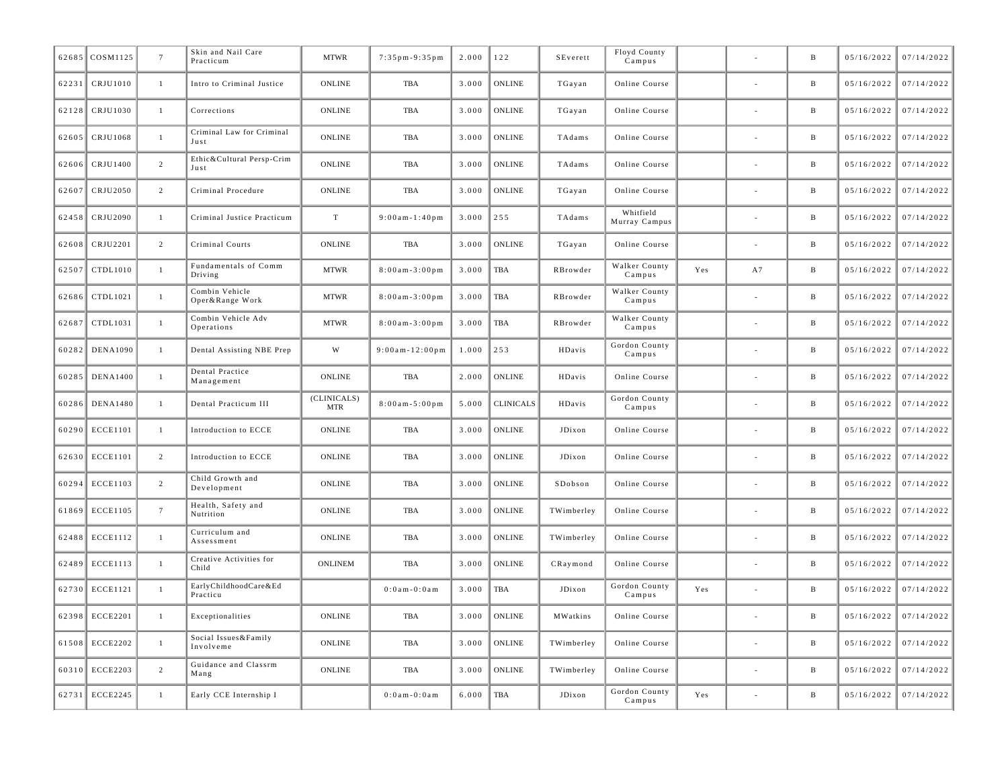|       | 62685 COSM1125  | $7\overline{ }$ | Skin and Nail Care<br>Practicum   | <b>MTWR</b>               | $7:35$ pm - 9:35 pm  | 2.000 | 122              | SEverett                | Floyd County<br>Campus     |     |    | $\, {\bf B}$ | 05/16/2022 | 07/14/2022 |
|-------|-----------------|-----------------|-----------------------------------|---------------------------|----------------------|-------|------------------|-------------------------|----------------------------|-----|----|--------------|------------|------------|
| 62231 | CRJU1010        | $\mathbf{1}$    | Intro to Criminal Justice         | ONLINE                    | <b>TBA</b>           | 3.000 | <b>ONLINE</b>    | TGayan                  | Online Course              |     |    | $\, {\bf B}$ | 05/16/2022 | 07/14/2022 |
| 62128 | CRJU1030        | <sup>1</sup>    | Corrections                       | <b>ONLINE</b>             | TBA                  | 3.000 | <b>ONLINE</b>    | TGayan                  | Online Course              |     |    | $\, {\bf B}$ | 05/16/2022 | 07/14/2022 |
| 62605 | CRJU1068        | 1               | Criminal Law for Criminal<br>Just | <b>ONLINE</b>             | <b>TBA</b>           | 3.000 | <b>ONLINE</b>    | TAdams                  | Online Course              |     |    | $\, {\bf B}$ | 05/16/2022 | 07/14/2022 |
| 62606 | CRJU1400        | 2               | Ethic&Cultural Persp-Crim<br>Just | <b>ONLINE</b>             | <b>TBA</b>           | 3.000 | <b>ONLINE</b>    | TAdams                  | Online Course              |     |    | $\, {\bf B}$ | 05/16/2022 | 07/14/2022 |
| 62607 | CRJU2050        | $\overline{c}$  | Criminal Procedure                | <b>ONLINE</b>             | TBA                  | 3.000 | <b>ONLINE</b>    | $\operatorname{TGayan}$ | Online Course              |     |    | $\, {\bf B}$ | 05/16/2022 | 07/14/2022 |
| 62458 | CRJU2090        | $\mathbf{1}$    | Criminal Justice Practicum        | $\rm T$                   | $9:00$ am-1:40pm     | 3.000 | 255              | TAdams                  | Whitfield<br>Murray Campus |     |    | $\, {\bf B}$ | 05/16/2022 | 07/14/2022 |
| 62608 | CRJU2201        | $\overline{c}$  | Criminal Courts                   | ONLINE                    | TBA                  | 3.000 | <b>ONLINE</b>    | TGayan                  | Online Course              |     |    | B            | 05/16/2022 | 07/14/2022 |
| 62507 | CTDL1010        | 1               | Fundamentals of Comm<br>Driving   | <b>MTWR</b>               | $8:00am - 3:00pm$    | 3.000 | <b>TBA</b>       | RBrowder                | Walker County<br>Campus    | Yes | A7 | B            | 05/16/2022 | 07/14/2022 |
| 62686 | CTDL1021        | 1               | Combin Vehicle<br>Oper&Range Work | <b>MTWR</b>               | $8:00am - 3:00pm$    | 3.000 | <b>TBA</b>       | RBrowder                | Walker County<br>Campus    |     |    | $\, {\bf B}$ | 05/16/2022 | 07/14/2022 |
| 62687 | CTDL1031        | $\mathbf{1}$    | Combin Vehicle Adv<br>Operations  | <b>MTWR</b>               | $8:00am - 3:00pm$    | 3.000 | <b>TBA</b>       | RBrowder                | Walker County<br>Campus    |     |    | $\, {\bf B}$ | 05/16/2022 | 07/14/2022 |
| 60282 | <b>DENA1090</b> | 1               | Dental Assisting NBE Prep         | W                         | $9:00am - 12:00pm$   | 1.000 | 253              | HDavis                  | Gordon County<br>Campus    |     |    | $\, {\bf B}$ | 05/16/2022 | 07/14/2022 |
| 60285 | <b>DENA1400</b> | 1               | Dental Practice<br>Management     | <b>ONLINE</b>             | <b>TBA</b>           | 2.000 | <b>ONLINE</b>    | HDavis                  | Online Course              |     |    | $\, {\bf B}$ | 05/16/2022 | 07/14/2022 |
| 60286 | <b>DENA1480</b> | $\mathbf{1}$    | Dental Practicum III              | (CLINICALS)<br><b>MTR</b> | $8:00a m - 5:00 p m$ | 5.000 | <b>CLINICALS</b> | HDavis                  | Gordon County<br>Campus    |     |    | $\, {\bf B}$ | 05/16/2022 | 07/14/2022 |
| 60290 | <b>ECCE1101</b> | $\mathbf{1}$    | Introduction to ECCE              | ONLINE                    | TBA                  | 3.000 | <b>ONLINE</b>    | JDixon                  | Online Course              |     |    | $\, {\bf B}$ | 05/16/2022 | 07/14/2022 |
| 62630 | <b>ECCE1101</b> | $\overline{2}$  | Introduction to ECCE              | <b>ONLINE</b>             | TBA                  | 3.000 | <b>ONLINE</b>    | JDixon                  | Online Course              |     |    | $\, {\bf B}$ | 05/16/2022 | 07/14/2022 |
| 60294 | <b>ECCE1103</b> | 2               | Child Growth and<br>Development   | <b>ONLINE</b>             | <b>TBA</b>           | 3.000 | <b>ONLINE</b>    | SDobson                 | Online Course              |     |    | $\, {\bf B}$ | 05/16/2022 | 07/14/2022 |
| 61869 | <b>ECCE1105</b> | $7\phantom{.0}$ | Health, Safety and<br>Nutrition   | <b>ONLINE</b>             | TBA                  | 3.000 | <b>ONLINE</b>    | TWimberley              | Online Course              |     |    | B            | 05/16/2022 | 07/14/2022 |
| 62488 | <b>ECCE1112</b> | $\mathbf{1}$    | Curriculum and<br>Assessment      | <b>ONLINE</b>             | <b>TBA</b>           | 3.000 | <b>ONLINE</b>    | TWimberley              | Online Course              |     |    | B            | 05/16/2022 | 07/14/2022 |
| 62489 | <b>ECCE1113</b> | $\mathbf{1}$    | Creative Activities for<br>Child  | ONLINEM                   | TBA                  | 3.000 | <b>ONLINE</b>    | CRaymond                | Online Course              |     |    | $\, {\bf B}$ | 05/16/2022 | 07/14/2022 |
|       | 62730 ECCE1121  | 1               | EarlyChildhoodCare&Ed<br>Practicu |                           | $0:0$ am - $0:0$ am  | 3.000 | <b>TBA</b>       | JDixon                  | Gordon County<br>Campus    | Yes |    | $\, {\bf B}$ | 05/16/2022 | 07/14/2022 |
| 62398 | <b>ECCE2201</b> | 1               | Exceptionalities                  | <b>ONLINE</b>             | <b>TBA</b>           | 3.000 | <b>ONLINE</b>    | MWatkins                | Online Course              |     |    | $\, {\bf B}$ | 05/16/2022 | 07/14/2022 |
| 61508 | <b>ECCE2202</b> | 1               | Social Issues&Family<br>Involveme | ONLINE                    | <b>TBA</b>           | 3.000 | <b>ONLINE</b>    | TWimberley              | Online Course              |     |    | $\, {\bf B}$ | 05/16/2022 | 07/14/2022 |
| 60310 | <b>ECCE2203</b> | $\overline{c}$  | Guidance and Classrm<br>Mang      | <b>ONLINE</b>             | TBA                  | 3.000 | <b>ONLINE</b>    | TWimberley              | Online Course              |     |    | $\, {\bf B}$ | 05/16/2022 | 07/14/2022 |
| 62731 | <b>ECCE2245</b> | $\mathbf{1}$    | Early CCE Internship I            |                           | $0:0$ am - $0:0$ am  | 6.000 | <b>TBA</b>       | JDixon                  | Gordon County<br>Campus    | Yes |    | $\, {\bf B}$ | 05/16/2022 | 07/14/2022 |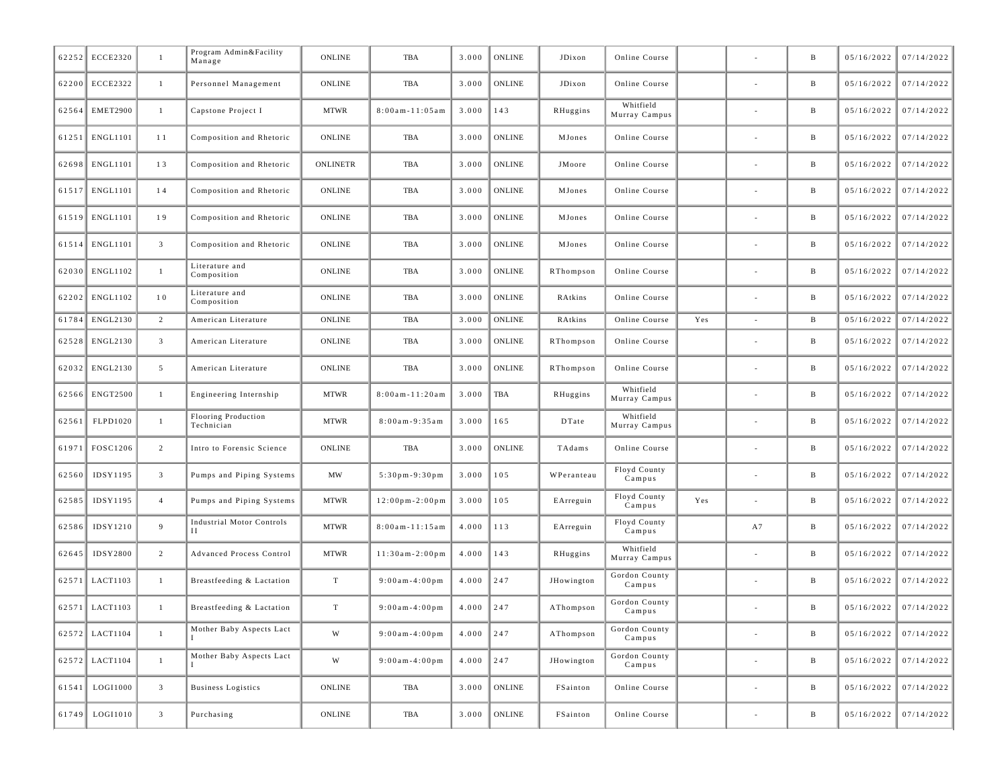| 62252 | <b>ECCE2320</b> | $\mathbf{1}$    | Program Admin&Facility<br>Manage      | ONLINE          | TBA                                  | 3.000 | <b>ONLINE</b> | JDixon     | Online Course              |     |                          | B            | 05/16/2022 | 07/14/2022 |
|-------|-----------------|-----------------|---------------------------------------|-----------------|--------------------------------------|-------|---------------|------------|----------------------------|-----|--------------------------|--------------|------------|------------|
|       | 62200 ECCE2322  | $\mathbf{1}$    | Personnel Management                  | ONLINE          | TBA                                  | 3.000 | <b>ONLINE</b> | JDixon     | Online Course              |     |                          | B            | 05/16/2022 | 07/14/2022 |
| 62564 | <b>EMET2900</b> | $\mathbf{1}$    | Capstone Project I                    | <b>MTWR</b>     | $8:00$ am - $11:05$ am               | 3.000 | 143           | RHuggins   | Whitfield<br>Murray Campus |     |                          | $\, {\bf B}$ | 05/16/2022 | 07/14/2022 |
| 61251 | <b>ENGL1101</b> | 11              | Composition and Rhetoric              | ONLINE          | TBA                                  | 3.000 | <b>ONLINE</b> | MJones     | Online Course              |     |                          | B            | 05/16/2022 | 07/14/2022 |
| 62698 | <b>ENGL1101</b> | 13              | Composition and Rhetoric              | <b>ONLINETR</b> | TBA                                  | 3.000 | <b>ONLINE</b> | JMoore     | Online Course              |     |                          | B            | 05/16/2022 | 07/14/2022 |
|       | 61517 ENGL1101  | 14              | Composition and Rhetoric              | ONLINE          | TBA                                  | 3.000 | <b>ONLINE</b> | MJones     | Online Course              |     |                          | B            | 05/16/2022 | 07/14/2022 |
| 61519 | <b>ENGL1101</b> | 19              | Composition and Rhetoric              | ONLINE          | TBA                                  | 3.000 | <b>ONLINE</b> | MJones     | Online Course              |     |                          | $\, {\bf B}$ | 05/16/2022 | 07/14/2022 |
| 61514 | <b>ENGL1101</b> | $\overline{3}$  | Composition and Rhetoric              | ONLINE          | TBA                                  | 3.000 | <b>ONLINE</b> | MJones     | Online Course              |     |                          | B            | 05/16/2022 | 07/14/2022 |
| 62030 | ENGL1102        | $\mathbf{1}$    | Literature and<br>Composition         | ONLINE          | TBA                                  | 3.000 | <b>ONLINE</b> | RThompson  | Online Course              |     |                          | B            | 05/16/2022 | 07/14/2022 |
| 62202 | ENGL1102        | 10              | Literature and<br>Composition         | ONLINE          | TBA                                  | 3.000 | <b>ONLINE</b> | RAtkins    | Online Course              |     | $\overline{\phantom{a}}$ | B            | 05/16/2022 | 07/14/2022 |
| 61784 | ENGL2130        | 2               | American Literature                   | <b>ONLINE</b>   | TBA                                  | 3.000 | <b>ONLINE</b> | RAtkins    | Online Course              | Yes | $\sim$                   | $\, {\bf B}$ | 05/16/2022 | 07/14/2022 |
| 62528 | <b>ENGL2130</b> | $\overline{3}$  | American Literature                   | ONLINE          | TBA                                  | 3.000 | <b>ONLINE</b> | RThompson  | Online Course              |     | $\sim$                   | $\, {\bf B}$ | 05/16/2022 | 07/14/2022 |
| 62032 | ENGL2130        | $5\overline{ }$ | American Literature                   | <b>ONLINE</b>   | TBA                                  | 3.000 | <b>ONLINE</b> | RThompson  | Online Course              |     |                          | B            | 05/16/2022 | 07/14/2022 |
|       | 62566 ENGT2500  | $\mathbf{1}$    | Engineering Internship                | <b>MTWR</b>     | $8:00$ am - $11:20$ am               | 3.000 | TBA           | RHuggins   | Whitfield<br>Murray Campus |     | $\sim$                   | $\, {\bf B}$ | 05/16/2022 | 07/14/2022 |
| 62561 | FLPD1020        | $\mathbf{1}$    | Flooring Production<br>Technician     | <b>MTWR</b>     | $8:00am - 9:35am$                    | 3.000 | 165           | DTate      | Whitfield<br>Murray Campus |     |                          | B            | 05/16/2022 | 07/14/2022 |
| 61971 | FOSC1206        | $\overline{2}$  | Intro to Forensic Science             | ONLINE          | TBA                                  | 3.000 | <b>ONLINE</b> | TAdams     | Online Course              |     | $\sim$                   | $\, {\bf B}$ | 05/16/2022 | 07/14/2022 |
| 62560 | IDSY1195        | $\overline{3}$  | Pumps and Piping Systems              | MW              | $5:30$ pm-9:30pm                     | 3.000 | 105           | WPeranteau | Floyd County<br>Campus     |     |                          | $\, {\bf B}$ | 05/16/2022 | 07/14/2022 |
| 62585 | IDSY1195        | $\overline{4}$  | Pumps and Piping Systems              | <b>MTWR</b>     | $12:00 \text{ pm} - 2:00 \text{ pm}$ | 3.000 | 105           | EArreguin  | Floyd County<br>Campus     | Yes |                          | B            | 05/16/2022 | 07/14/2022 |
| 62586 | IDSY1210        | 9               | <b>Industrial Motor Controls</b><br>Н | <b>MTWR</b>     | $8:00$ am - $11:15$ am               | 4.000 | 113           | EArreguin  | Floyd County<br>Campus     |     | A7                       | B            | 05/16/2022 | 07/14/2022 |
| 62645 | <b>IDSY2800</b> | $\overline{2}$  | <b>Advanced Process Control</b>       | <b>MTWR</b>     | $11:30a m - 2:00 p m$                | 4.000 | 143           | RHuggins   | Whitfield<br>Murray Campus |     | $\sim$                   | $\, {\bf B}$ | 05/16/2022 | 07/14/2022 |
| 62571 | LACT1103        | $\mathbf{1}$    | Breastfeeding & Lactation             | T               | $9:00am - 4:00pm$                    | 4.000 | 247           | JHowington | Gordon County<br>Campus    |     |                          | $\, {\bf B}$ | 05/16/2022 | 07/14/2022 |
|       | 62571 LACT1103  | $\mathbf{1}$    | Breastfeeding & Lactation             | $\rm T$         | $9:00$ am-4:00pm                     | 4.000 | 247           | AThompson  | Gordon County<br>Campus    |     |                          | $\, {\bf B}$ | 05/16/2022 | 07/14/2022 |
|       | 62572 LACT1104  | $\mathbf{1}$    | Mother Baby Aspects Lact              | W               | $9:00$ am-4:00pm                     | 4.000 | 247           | AThompson  | Gordon County<br>Campus    |     |                          | $\, {\bf B}$ | 05/16/2022 | 07/14/2022 |
|       | 62572 LACT1104  | $\mathbf{1}$    | Mother Baby Aspects Lact              | W               | $9:00$ am-4:00pm                     | 4.000 | 247           | JHowington | Gordon County<br>Campus    |     |                          | $\mathbf{B}$ | 05/16/2022 | 07/14/2022 |
| 61541 | LOGI1000        | 3 <sup>1</sup>  | <b>Business Logistics</b>             | ONLINE          | TBA                                  | 3.000 | ONLINE        | FSainton   | Online Course              |     | $\overline{\phantom{a}}$ | $\, {\bf B}$ | 05/16/2022 | 07/14/2022 |
| 61749 | LOGI1010        | $\overline{3}$  | Purchasing                            | ONLINE          | TBA                                  | 3.000 | ONLINE        | FSainton   | Online Course              |     |                          | $\, {\bf B}$ | 05/16/2022 | 07/14/2022 |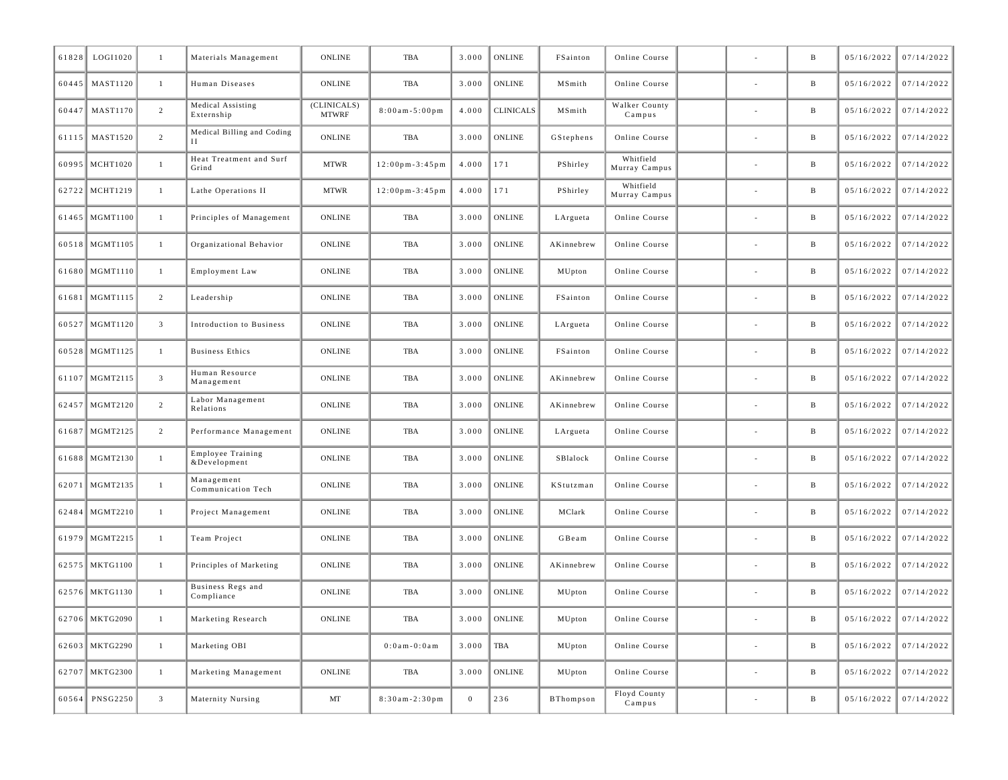| 61828 | LOGI1020         | $\mathbf{1}$   | Materials Management                     | ONLINE                      | TBA                                  | 3.000        | ONLINE           | FSainton   | Online Course              |                          | B               | 05/16/2022 | 07/14/2022              |
|-------|------------------|----------------|------------------------------------------|-----------------------------|--------------------------------------|--------------|------------------|------------|----------------------------|--------------------------|-----------------|------------|-------------------------|
|       | 60445   MAST1120 | 1              | Human Diseases                           | ONLINE                      | TBA                                  | 3.000        | ONLINE           | MSmith     | Online Course              |                          | $\, {\bf B}$    | 05/16/2022 | 07/14/2022              |
| 60447 | <b>MAST1170</b>  | $\overline{2}$ | Medical Assisting<br>Externship          | (CLINICALS)<br><b>MTWRF</b> | $8:00am - 5:00pm$                    | 4.000        | <b>CLINICALS</b> | MSmith     | Walker County<br>Campus    |                          | $\, {\bf B}$    | 05/16/2022 | 07/14/2022              |
|       | 61115 MAST1520   | $\overline{c}$ | Medical Billing and Coding               | ONLINE                      | TBA                                  | 3.000        | ONLINE           | GStephens  | Online Course              |                          | B               | 05/16/2022 | 07/14/2022              |
|       | 60995 MCHT1020   | $\mathbf{1}$   | Heat Treatment and Surf<br>Grind         | <b>MTWR</b>                 | $12:00 \text{ pm} - 3:45 \text{ pm}$ | 4.000        | 171              | PShirley   | Whitfield<br>Murray Campus |                          | $\, {\bf B}$    | 05/16/2022 | 07/14/2022              |
|       | 62722 MCHT1219   | $\mathbf{1}$   | Lathe Operations II                      | <b>MTWR</b>                 | $12:00 \text{ pm} - 3:45 \text{ pm}$ | 4.000        | 171              | PShirley   | Whitfield<br>Murray Campus |                          | B               | 05/16/2022 | 07/14/2022              |
|       | 61465   MGMT1100 | 1              | Principles of Management                 | ONLINE                      | TBA                                  | 3.000        | ONLINE           | LArgueta   | Online Course              | $\overline{\phantom{a}}$ | $\, {\bf B}$    | 05/16/2022 | 07/14/2022              |
|       | 60518 MGMT1105   | 1              | Organizational Behavior                  | <b>ONLINE</b>               | TBA                                  | 3.000        | ONLINE           | AKinnebrew | Online Course              |                          | B               | 05/16/2022 | 07/14/2022              |
|       | 61680 MGMT1110   | $\mathbf{1}$   | Employment Law                           | ONLINE                      | TBA                                  | 3.000        | ONLINE           | MUpton     | Online Course              |                          | $\, {\bf B}$    | 05/16/2022 | 07/14/2022              |
|       | 61681 MGMT1115   | $\overline{2}$ | Leadership                               | ONLINE                      | TBA                                  | 3.000        | ONLINE           | FSainton   | Online Course              | ٠                        | $\, {\bf B}$    | 05/16/2022 | 07/14/2022              |
|       | 60527   MGMT1120 | $\mathbf{3}$   | Introduction to Business                 | ONLINE                      | TBA                                  | 3.000        | ONLINE           | LArgueta   | Online Course              | $\overline{\phantom{a}}$ | $\, {\bf B}$    | 05/16/2022 | 07/14/2022              |
|       | 60528 MGMT1125   | 1              | <b>Business Ethics</b>                   | ONLINE                      | TBA                                  | 3.000        | ONLINE           | FSainton   | Online Course              |                          | B               | 05/16/2022 | 07/14/2022              |
|       | 61107 MGMT2115   | $\mathbf{3}$   | Human Resource<br>Management             | ONLINE                      | TBA                                  | 3.000        | ONLINE           | AKinnebrew | Online Course              |                          | $\, {\bf B}$    | 05/16/2022 | 07/14/2022              |
|       | 62457   MGMT2120 | $\overline{c}$ | Labor Management<br>Relations            | ONLINE                      | TBA                                  | 3.000        | ONLINE           | AKinnebrew | Online Course              | $\overline{\phantom{a}}$ | $\, {\bf B}$    | 05/16/2022 | 07/14/2022              |
| 61687 | MGMT2125         | $\overline{2}$ | Performance Management                   | ONLINE                      | TBA                                  | 3.000        | ONLINE           | LArgueta   | Online Course              |                          | $\, {\bf B}$    | 05/16/2022 | 07/14/2022              |
|       | 61688 MGMT2130   | $\mathbf{1}$   | <b>Employee Training</b><br>&Development | ONLINE                      | TBA                                  | 3.000        | ONLINE           | SBlalock   | Online Course              |                          | $\, {\bf B}$    | 05/16/2022 | 07/14/2022              |
|       | 62071   MGMT2135 | $\mathbf{1}$   | Management<br>Communication Tech         | ONLINE                      | TBA                                  | 3.000        | ONLINE           | KStutzman  | Online Course              |                          | $\mathbf{B}$    | 05/16/2022 | 07/14/2022              |
|       | 62484   MGMT2210 | $\mathbf{1}$   | Project Management                       | ONLINE                      | TBA                                  | 3.000        | ONLINE           | MClark     | Online Course              | ٠                        | $\, {\bf B}$    | 05/16/2022 | 07/14/2022              |
|       | 61979 MGMT2215   | 1              | Team Project                             | ONLINE                      | TBA                                  | 3.000        | ONLINE           | GBeam      | Online Course              | $\overline{\phantom{a}}$ | $\, {\bf B}$    | 05/16/2022 | 07/14/2022              |
|       | 62575 MKTG1100   | $\mathbf{1}$   | Principles of Marketing                  | <b>ONLINE</b>               | TBA                                  | 3.000        | ONLINE           | AKinnebrew | Online Course              |                          | B               | 05/16/2022 | 07/14/2022              |
|       | 62576 MKTG1130   | 1              | Business Regs and<br>Compliance          | ONLINE                      | TBA                                  | 3.000        | ONLINE           | MUpton     | Online Course              | $\overline{\phantom{a}}$ | $\mathbf{B}$    | 05/16/2022 | 07/14/2022              |
|       | 62706 MKTG2090   |                | Marketing Research                       | ONLINE                      | TBA                                  |              | $3.000$ ONLINE   | MUpton     | Online Course              |                          | B               |            | $05/16/2022$ 07/14/2022 |
|       | 62603 MKTG2290   | $\mathbf{1}$   | Marketing OBI                            |                             | $0:0$ am - $0:0$ am                  | 3.000        | TBA              | MUpton     | Online Course              | $\overline{\phantom{a}}$ | $\, {\bf B} \,$ | 05/16/2022 | 07/14/2022              |
|       | 62707 MKTG2300   | $\mathbf{1}$   | Marketing Management                     | <b>ONLINE</b>               | TBA                                  | 3.000        | ONLINE           | MUpton     | Online Course              | $\sim$                   | $\, {\bf B}$    | 05/16/2022 | 07/14/2022              |
|       | 60564 PNSG2250   | $\mathbf{3}$   | Maternity Nursing                        | MT                          | $8:30am - 2:30pm$                    | $\mathbf{0}$ | 236              | BThompson  | Floyd County<br>Campus     | $\overline{\phantom{a}}$ | $\, {\bf B}$    | 05/16/2022 | 07/14/2022              |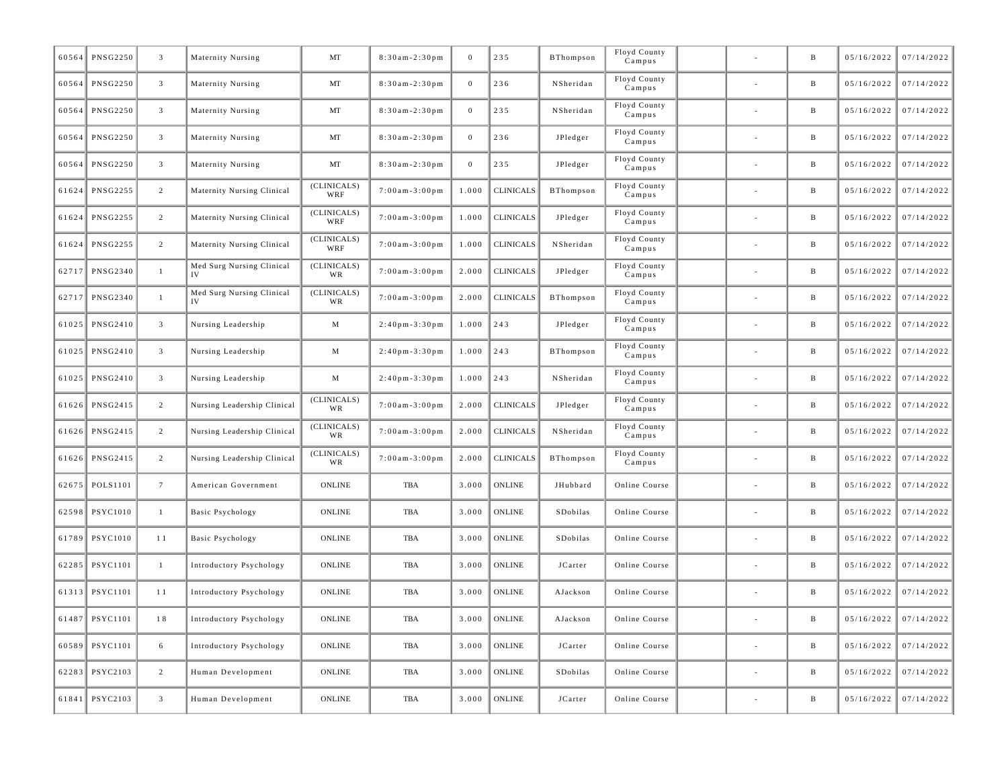| 60564 | <b>PNSG2250</b>    | $\overline{3}$  | Maternity Nursing               | MT                 | $8:30am - 2:30pm$     | $\mathbf{0}$     | 235              | BThompson | Floyd County<br>Campus |                          | $\, {\bf B}$ | 05/16/2022 | 07/14/2022              |
|-------|--------------------|-----------------|---------------------------------|--------------------|-----------------------|------------------|------------------|-----------|------------------------|--------------------------|--------------|------------|-------------------------|
|       | 60564 PNSG2250     | $\mathbf{3}$    | Maternity Nursing               | MT                 | $8:30am - 2:30pm$     | $\boldsymbol{0}$ | 236              | NSheridan | Floyd County<br>Campus |                          | $\, {\bf B}$ | 05/16/2022 | 07/14/2022              |
| 60564 | <b>PNSG2250</b>    | $\mathbf{3}$    | Maternity Nursing               | MT                 | $8:30am - 2:30pm$     | $\mathbf{0}$     | 235              | NSheridan | Floyd County<br>Campus |                          | $\, {\bf B}$ | 05/16/2022 | 07/14/2022              |
| 60564 | <b>PNSG2250</b>    | $\mathbf{3}$    | Maternity Nursing               | MT                 | $8:30am - 2:30pm$     | $\mathbf{0}$     | 236              | JPledger  | Floyd County<br>Campus |                          | $\, {\bf B}$ | 05/16/2022 | 07/14/2022              |
|       | 60564 PNSG2250     | $\mathbf{3}$    | Maternity Nursing               | MT                 | $8:30am - 2:30pm$     | $\bf{0}$         | 235              | JPledger  | Floyd County<br>Campus |                          | $\, {\bf B}$ | 05/16/2022 | 07/14/2022              |
|       | 61624 PNSG2255     | $\overline{2}$  | Maternity Nursing Clinical      | (CLINICALS)<br>WRF | $7:00$ am - $3:00$ pm | 1.000            | <b>CLINICALS</b> | BThompson | Floyd County<br>Campus |                          | $\, {\bf B}$ | 05/16/2022 | 07/14/2022              |
| 61624 | <b>PNSG2255</b>    | $\overline{2}$  | Maternity Nursing Clinical      | (CLINICALS)<br>WRF | $7:00am - 3:00pm$     | 1.000            | <b>CLINICALS</b> | JPledger  | Floyd County<br>Campus |                          | $\, {\bf B}$ | 05/16/2022 | 07/14/2022              |
| 61624 | <b>PNSG2255</b>    | $\overline{2}$  | Maternity Nursing Clinical      | (CLINICALS)<br>WRF | $7:00$ am - $3:00$ pm | 1.000            | <b>CLINICALS</b> | NSheridan | Floyd County<br>Campus |                          | $\, {\bf B}$ | 05/16/2022 | 07/14/2022              |
| 62717 | PNSG2340           | $\mathbf{1}$    | Med Surg Nursing Clinical<br>IV | (CLINICALS)<br>WR  | $7:00$ am - 3:00 pm   | 2.000            | <b>CLINICALS</b> | JPledger  | Floyd County<br>Campus |                          | $\, {\bf B}$ | 05/16/2022 | 07/14/2022              |
|       | 62717 PNSG2340     | $\mathbf{1}$    | Med Surg Nursing Clinical<br>IV | (CLINICALS)<br>WR  | $7:00$ am - $3:00$ pm | 2.000            | <b>CLINICALS</b> | BThompson | Floyd County<br>Campus |                          | $\, {\bf B}$ | 05/16/2022 | 07/14/2022              |
| 61025 | PNSG2410           | $\mathbf{3}$    | Nursing Leadership              | M                  | $2:40$ pm- $3:30$ pm  | 1.000            | 243              | JPledger  | Floyd County<br>Campus |                          | $\, {\bf B}$ | 05/16/2022 | 07/14/2022              |
|       | 61025 PNSG2410     | $\mathbf{3}$    | Nursing Leadership              | M                  | $2:40$ pm - $3:30$ pm | 1.000            | 243              | BThompson | Floyd County<br>Campus |                          | $\, {\bf B}$ | 05/16/2022 | 07/14/2022              |
|       | 61025 PNSG2410     | $\mathbf{3}$    | Nursing Leadership              | M                  | $2:40$ pm- $3:30$ pm  | 1.000            | 243              | NSheridan | Floyd County<br>Campus |                          | $\, {\bf B}$ | 05/16/2022 | 07/14/2022              |
|       | 61626 PNSG2415     | $\overline{2}$  | Nursing Leadership Clinical     | (CLINICALS)<br>WR  | $7:00$ am-3:00pm      | 2.000            | <b>CLINICALS</b> | JPledger  | Floyd County<br>Campus |                          | $\, {\bf B}$ | 05/16/2022 | 07/14/2022              |
| 61626 | PNSG2415           | $\overline{2}$  | Nursing Leadership Clinical     | (CLINICALS)<br>WR  | $7:00am - 3:00pm$     | 2.000            | <b>CLINICALS</b> | NSheridan | Floyd County<br>Campus |                          | $\, {\bf B}$ | 05/16/2022 | 07/14/2022              |
| 61626 | PNSG2415           | $\overline{2}$  | Nursing Leadership Clinical     | (CLINICALS)<br>WR  | $7:00$ am - $3:00$ pm | 2.000            | <b>CLINICALS</b> | BThompson | Floyd County<br>Campus |                          | $\, {\bf B}$ | 05/16/2022 | 07/14/2022              |
|       | 62675 POLS1101     | $7\overline{ }$ | American Government             | <b>ONLINE</b>      | TBA                   | 3.000            | ONLINE           | JHubbard  | Online Course          |                          | $\, {\bf B}$ | 05/16/2022 | 07/14/2022              |
|       | 62598 PSYC1010     | $\mathbf{1}$    | Basic Psychology                | ONLINE             | TBA                   | 3.000            | ONLINE           | SDobilas  | Online Course          |                          | $\, {\bf B}$ | 05/16/2022 | 07/14/2022              |
| 61789 | PSYC1010           | 11              | Basic Psychology                | ONLINE             | TBA                   | 3.000            | ONLINE           | SDobilas  | Online Course          |                          | $\, {\bf B}$ | 05/16/2022 | 07/14/2022              |
| 62285 | <b>PSYC1101</b>    | $\mathbf{1}$    | Introductory Psychology         | ONLINE             | TBA                   | 3.000            | ONLINE           | JCarter   | Online Course          |                          | $\, {\bf B}$ | 05/16/2022 | 07/14/2022              |
|       | 61313 PSYC1101     | 11              | Introductory Psychology         | <b>ONLINE</b>      | TBA                   | 3.000            | ONLINE           | AJackson  | Online Course          |                          | $\mathbf{B}$ | 05/16/2022 | 07/14/2022              |
|       | $ 61487 $ PSYC1101 | $1\;8$          | Introductory Psychology         | ONLINE             | TBA                   |                  | $3.000$ ONLINE   | AJackson  | Online Course          |                          |              |            | $05/16/2022$ 07/14/2022 |
|       | 60589 PSYC1101     | 6               | Introductory Psychology         | ONLINE             | TBA                   | 3.000            | <b>ONLINE</b>    | JCarter   | Online Course          | $\overline{\phantom{a}}$ | $\mathbf{B}$ | 05/16/2022 | 07/14/2022              |
|       | 62283 PSYC2103     | $2^{\circ}$     | Human Development               | ONLINE             | TBA                   | 3.000            | ONLINE           | SDobilas  | Online Course          | $\overline{\phantom{a}}$ | $\, {\bf B}$ | 05/16/2022 | 07/14/2022              |
|       | 61841 PSYC2103     | 3 <sup>7</sup>  | Human Development               | ONLINE             | TBA                   | 3.000            | ONLINE           | JCarter   | Online Course          | $\overline{\phantom{a}}$ | $\, {\bf B}$ | 05/16/2022 | 07/14/2022              |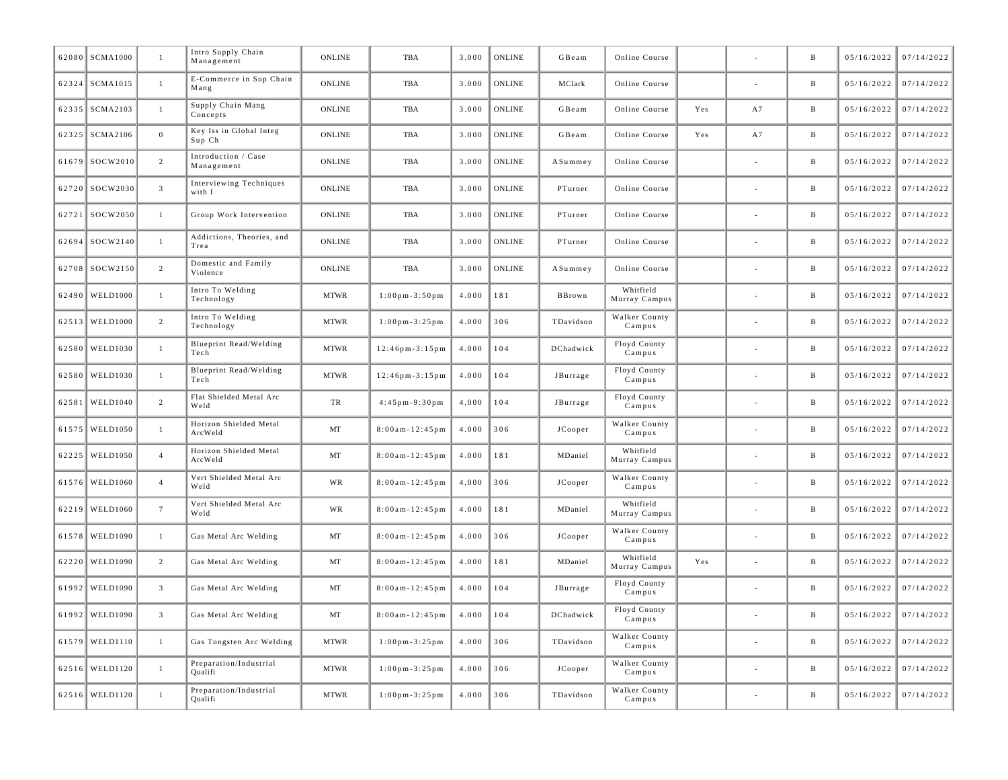|       | 62080 SCMA1000  | $\mathbf{1}$    | Intro Supply Chain<br>Management  | <b>ONLINE</b> | <b>TBA</b>                          | 3.000 | <b>ONLINE</b> | GBeam     | Online Course              |     |    | $\, {\bf B}$ | 05/16/2022 | 07/14/2022   |
|-------|-----------------|-----------------|-----------------------------------|---------------|-------------------------------------|-------|---------------|-----------|----------------------------|-----|----|--------------|------------|--------------|
| 62324 | <b>SCMA1015</b> | $\mathbf{1}$    | E-Commerce in Sup Chain<br>Mang   | <b>ONLINE</b> | <b>TBA</b>                          | 3.000 | <b>ONLINE</b> | MClark    | Online Course              |     |    | $\, {\bf B}$ | 05/16/2022 | 07/14/2022   |
|       | 62335 SCMA2103  | $\mathbf{1}$    | Supply Chain Mang<br>Concepts     | <b>ONLINE</b> | <b>TBA</b>                          | 3.000 | <b>ONLINE</b> | GBeam     | Online Course              | Yes | A7 | $\, {\bf B}$ | 05/16/2022 | 07/14/2022   |
| 62325 | <b>SCMA2106</b> | $\overline{0}$  | Key Iss in Global Integ<br>Sup Ch | ONLINE        | TBA                                 | 3.000 | <b>ONLINE</b> | GBeam     | Online Course              | Yes | A7 | $\, {\bf B}$ | 05/16/2022 | 07/14/2022   |
|       | 61679 SOCW2010  | 2               | Introduction / Case<br>Management | <b>ONLINE</b> | <b>TBA</b>                          | 3.000 | <b>ONLINE</b> | ASummey   | Online Course              |     |    | $\, {\bf B}$ | 05/16/2022 | 07/14/2022   |
|       | 62720 SOCW2030  | $\mathbf{3}$    | Interviewing Techniques<br>with I | <b>ONLINE</b> | <b>TBA</b>                          | 3.000 | <b>ONLINE</b> | PTurner   | Online Course              |     |    | $\, {\bf B}$ | 05/16/2022 | 07/14/2022   |
|       | 62721 SOCW2050  | $\mathbf{1}$    | Group Work Intervention           | <b>ONLINE</b> | <b>TBA</b>                          | 3.000 | <b>ONLINE</b> | PTurner   | Online Course              |     |    | B            | 05/16/2022 | 07/14/2022   |
| 62694 | SOCW2140        | $\mathbf{1}$    | Addictions, Theories, and<br>Trea | <b>ONLINE</b> | TBA                                 | 3.000 | <b>ONLINE</b> | PTurner   | Online Course              |     |    | $\, {\bf B}$ | 05/16/2022 | 07/14/2022   |
|       | 62708 SOCW2150  | $\overline{c}$  | Domestic and Family<br>Violence   | ONLINE        | TBA                                 | 3.000 | <b>ONLINE</b> | ASummey   | Online Course              |     |    | $\, {\bf B}$ | 05/16/2022 | 07/14/2022   |
| 62490 | WELD1000        | $\mathbf{1}$    | Intro To Welding<br>Technology    | <b>MTWR</b>   | $1:00 \text{ pm} - 3:50 \text{ pm}$ | 4.000 | 181           | BBrown    | Whitfield<br>Murray Campus |     |    | B            | 05/16/2022 | 07/14/2022   |
| 62513 | <b>WELD1000</b> | 2               | Intro To Welding<br>Technology    | <b>MTWR</b>   | $1:00$ pm - 3:25 pm                 | 4.000 | 306           | TDavidson | Walker County<br>Campus    |     |    | B            | 05/16/2022 | 07/14/2022   |
| 62580 | <b>WELD1030</b> | $\mathbf{1}$    | Blueprint Read/Welding<br>Tech    | <b>MTWR</b>   | $12:46$ pm - $3:15$ pm              | 4.000 | 104           | DChadwick | Floyd County<br>Campus     |     |    | B            | 05/16/2022 | 07/14/2022   |
| 62580 | <b>WELD1030</b> | $\mathbf{1}$    | Blueprint Read/Welding<br>Tech    | <b>MTWR</b>   | $12:46$ pm - $3:15$ pm              | 4.000 | 104           | JBurrage  | Floyd County<br>Campus     |     |    | B            | 05/16/2022 | 07/14/2022   |
| 62581 | <b>WELD1040</b> | $\overline{c}$  | Flat Shielded Metal Arc<br>Weld   | ${\rm TR}$    | $4:45$ pm-9:30pm                    | 4.000 | 104           | JBurrage  | Floyd County<br>Campus     |     |    | B            | 05/16/2022 | 07/14/2022   |
| 61575 | <b>WELD1050</b> | $\mathbf{1}$    | Horizon Shielded Metal<br>ArcWeld | MT            | $8:00$ am - $12:45$ pm              | 4.000 | 306           | JCooper   | Walker County<br>Campus    |     |    | $\, {\bf B}$ | 05/16/2022 | 07/14/2022   |
| 62225 | <b>WELD1050</b> | $\overline{4}$  | Horizon Shielded Metal<br>ArcWeld | MT            | $8:00$ am - $12:45$ pm              | 4.000 | 181           | MDaniel   | Whitfield<br>Murray Campus |     |    | $\, {\bf B}$ | 05/16/2022 | 07/14/2022   |
| 61576 | <b>WELD1060</b> | $\overline{4}$  | Vert Shielded Metal Arc<br>Weld   | WR            | $8:00$ am - $12:45$ pm              | 4.000 | 306           | JCooper   | Walker County<br>Campus    |     |    | $\, {\bf B}$ | 05/16/2022 | 07/14/2022   |
| 62219 | <b>WELD1060</b> | $7\overline{ }$ | Vert Shielded Metal Arc<br>Weld   | WR            | $8:00$ am - $12:45$ pm              | 4.000 | 181           | MDaniel   | Whitfield<br>Murray Campus |     |    | B            | 05/16/2022 | 07/14/2022   |
| 61578 | <b>WELD1090</b> | $\mathbf{1}$    | Gas Metal Arc Welding             | MT            | $8:00$ am - $12:45$ pm              | 4.000 | 306           | JCooper   | Walker County<br>Campus    |     |    | $\mathbf{B}$ | 05/16/2022 | 07/14/2022   |
| 62220 | <b>WELD1090</b> | 2               | Gas Metal Arc Welding             | MT            | $8:00$ am - $12:45$ pm              | 4.000 | 181           | MDaniel   | Whitfield<br>Murray Campus | Yes |    | B            | 05/16/2022 | 07/14/2022   |
| 61992 | <b>WELD1090</b> | $\overline{3}$  | Gas Metal Arc Welding             | MT            | $8:00$ am - $12:45$ pm              | 4.000 | 104           | JBurrage  | Floyd County<br>Campus     |     |    | $\, {\bf B}$ | 05/16/2022 | $07/14/2022$ |
| 61992 | <b>WELD1090</b> | $\mathbf{3}$    | Gas Metal Arc Welding             | MT            | $8:00$ am - $12:45$ pm              | 4.000 | 104           | DChadwick | Floyd County<br>Campus     |     |    | B            | 05/16/2022 | 07/14/2022   |
| 61579 | WELD1110        | $\mathbf{1}$    | Gas Tungsten Arc Welding          | <b>MTWR</b>   | $1:00$ pm - 3:25 pm                 | 4.000 | 306           | TDavidson | Walker County<br>Campus    |     |    | B            | 05/16/2022 | 07/14/2022   |
| 62516 | <b>WELD1120</b> | $\mathbf{1}$    | Preparation/Industrial<br>Qualifi | <b>MTWR</b>   | $1:00$ pm - $3:25$ pm               | 4.000 | 306           | JCooper   | Walker County<br>Campus    |     |    | B            | 05/16/2022 | 07/14/2022   |
|       | 62516 WELD1120  | $\mathbf{1}$    | Preparation/Industrial<br>Qualifi | <b>MTWR</b>   | $1:00$ pm - 3:25pm                  | 4.000 | 306           | TDavidson | Walker County<br>Campus    |     |    | B            | 05/16/2022 | 07/14/2022   |